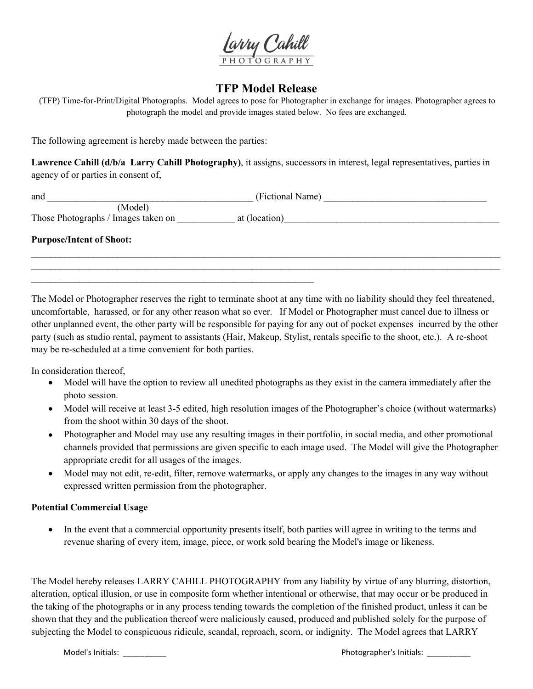

## **TFP Model Release**

(TFP) Time-for-Print/Digital Photographs. Model agrees to pose for Photographer in exchange for images. Photographer agrees to photograph the model and provide images stated below. No fees are exchanged.

The following agreement is hereby made between the parties:

**Lawrence Cahill (d/b/a Larry Cahill Photography)**, it assigns, successors in interest, legal representatives, parties in agency of or parties in consent of,

| and                                 | (Fictional Name) |  |
|-------------------------------------|------------------|--|
| (Model)                             |                  |  |
| Those Photographs / Images taken on | at (location)    |  |
| <b>Purpose/Intent of Shoot:</b>     |                  |  |
|                                     |                  |  |

 $\mathcal{L}_\text{max}$  , and the contract of the contract of the contract of the contract of the contract of the contract of the contract of the contract of the contract of the contract of the contract of the contract of the contr

The Model or Photographer reserves the right to terminate shoot at any time with no liability should they feel threatened, uncomfortable, harassed, or for any other reason what so ever. If Model or Photographer must cancel due to illness or other unplanned event, the other party will be responsible for paying for any out of pocket expenses incurred by the other party (such as studio rental, payment to assistants (Hair, Makeup, Stylist, rentals specific to the shoot, etc.). A re-shoot may be re-scheduled at a time convenient for both parties.

In consideration thereof,

- Model will have the option to review allunedited photographs as they exist in the camera immediately after the photo session.
- Model will receive at least 3-5 edited, high resolution images of the Photographer's choice (without watermarks) from the shoot within 30 days of the shoot.
- Photographer and Model may use any resulting images in their portfolio, in social media, and other promotional channels provided that permissions are given specific to each image used. The Model will give the Photographer appropriate credit for all usages of the images.
- Model may not edit, re-edit, filter, remove watermarks, or apply any changes to the images in any way without expressed written permission from the photographer.

## **Potential Commercial Usage**

• In the event that a commercial opportunity presents itself, both parties will agree in writing to the terms and revenue sharing of every item, image, piece, or work sold bearing the Model's image or likeness.

The Model hereby releases LARRY CAHILL PHOTOGRAPHY from any liability by virtue of any blurring, distortion, alteration, optical illusion, or use in composite form whether intentional or otherwise, that may occur or be produced in the taking of the photographs or in any process tending towards the completion of the finished product, unless it can be shown that they and the publication thereof were maliciously caused, produced and published solely for the purpose of subjecting the Model to conspicuous ridicule, scandal, reproach, scorn, or indignity. The Model agrees that LARRY

Model's Initials: \_\_\_\_\_\_\_\_\_\_ Photographer's Initials: \_\_\_\_\_\_\_\_\_\_